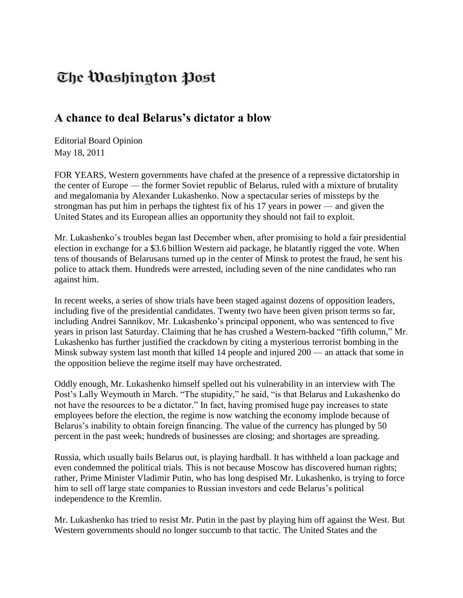## The Washington Post

## **A chance to deal Belarus's dictator a blow**

Editorial Board Opinion May 18, 2011

FOR YEARS, Western governments have chafed at the presence of a repressive dictatorship in the center of Europe — the former Soviet republic of Belarus, ruled with a mixture of brutality and megalomania by [Alexander Lukashenko.](http://news.bbc.co.uk/2/hi/europe/3882843.stm) Now a spectacular series of missteps by the strongman has put him in perhaps the tightest fix of his 17 years in power — and given the United States and its European allies an opportunity they should not fail to exploit.

Mr. Lukashenko's troubles began last December when, after promising to hold a fair presidential election in exchange for a \$3.6 billion Western aid package, he blatantly rigged the vote. When tens of thousands of Belarusans turned up in the center of Minsk to protest the fraud, he sent his police to attack them. Hundreds were arrested, including seven of the nine candidates who ran against him.

In recent weeks, a [series of show trials](http://www.washingtonpost.com/national/amid-criticism-belarus-initiates-trials-for-protesters/2011/02/19/ABZFLxH_story.html) have been staged against dozens of [opposition leaders,](http://www.washingtonpost.com/world/wife-of-former-belarusian-presidential-candidate-given-2-year-suspended-sentenced-after-rally/2011/05/16/AFr0vi4G_story.html) including five of the presidential candidates. Twenty two have been given prison terms so far, including [Andrei Sannikov,](http://www.nytimes.com/2011/05/15/world/europe/15belarus.html) Mr. Lukashenko's principal opponent, who was sentenced to five years in prison last Saturday. Claiming that he has crushed a Western-backed "fifth column," Mr. Lukashenko has further justified the crackdown by citing a mysterious [terrorist bombing in the](http://www.washingtonpost.com/world/explosion-hits-minsk-subway-kills-at-least-seven/2011/04/11/AFJNhRLD_story.html)  [Minsk subway system](http://www.washingtonpost.com/world/explosion-hits-minsk-subway-kills-at-least-seven/2011/04/11/AFJNhRLD_story.html) last month that [killed 14 people](http://www.aolnews.com/story/strong-explosion-hits-belarusian-capitals-subway/1749902/) and injured 200 — an attack that some in the opposition believe the regime itself may have orchestrated.

Oddly enough, Mr. Lukashenko himself spelled out his vulnerability in an [interview with](http://www.washingtonpost.com/opinions/lally-weymouth-interviews-belarus-president-alexander-lukashenko/2011/03/03/AB9iCoN_story.html) The [Post's Lally Weymouth in March.](http://www.washingtonpost.com/opinions/lally-weymouth-interviews-belarus-president-alexander-lukashenko/2011/03/03/AB9iCoN_story.html) "The stupidity," he said, "is that Belarus and Lukashenko do not have the resources to be a dictator." In fact, having promised huge pay increases to state employees before the election, the regime is now watching the economy implode because of Belarus's inability to obtain foreign financing. The [value of the currency h](http://www.washingtonpost.com/business/cash-strapped-belarus-completes-its-currency-devaluation-its-value-drops-by-30-percent/2011/05/11/AFdf41nG_story.html)as plunged by 50 percent in the past week; hundreds of businesses are closing; and shortages are spreading.

Russia, which usually bails Belarus out, [is playing hardball.](http://www.reuters.com/article/2011/05/18/us-russia-belarus-idUSTRE74H1MV20110518) It has withheld a loan package and even condemned the political trials. This is not because Moscow has discovered human rights; rather, Prime Minister Vladimir Putin, who has long despised Mr. Lukashenko, is trying to force him to sell off large state companies to Russian investors and cede Belarus's political independence to the Kremlin.

Mr. Lukashenko has tried to resist Mr. Putin in the past by playing him off against the West. But Western governments should no longer succumb to that tactic. The United States and the